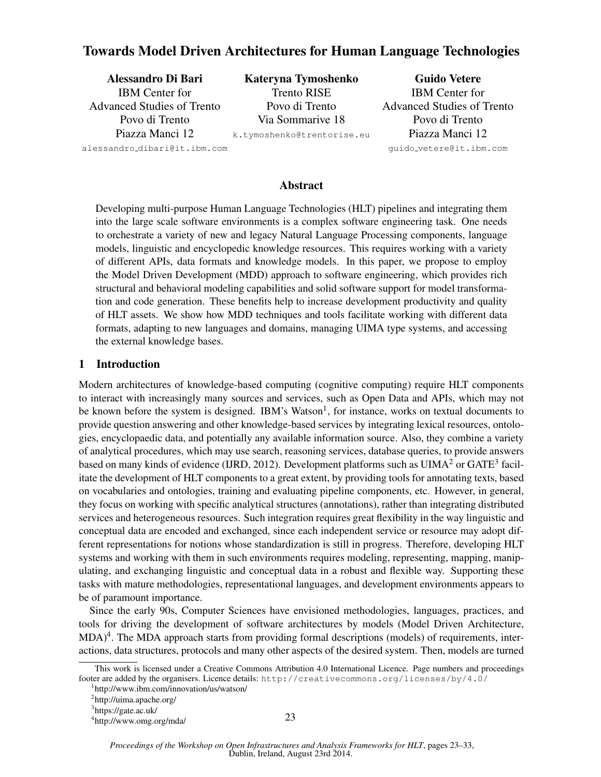# Towards Model Driven Architectures for Human Language Technologies

Alessandro Di Bari IBM Center for Advanced Studies of Trento Povo di Trento Piazza Manci 12 alessandro dibari@it.ibm.com Kateryna Tymoshenko Trento RISE Povo di Trento Via Sommarive 18 k.tymoshenko@trentorise.eu Guido Vetere IBM Center for Advanced Studies of Trento Povo di Trento Piazza Manci 12 guido vetere@it.ibm.com

Abstract

Developing multi-purpose Human Language Technologies (HLT) pipelines and integrating them into the large scale software environments is a complex software engineering task. One needs to orchestrate a variety of new and legacy Natural Language Processing components, language models, linguistic and encyclopedic knowledge resources. This requires working with a variety of different APIs, data formats and knowledge models. In this paper, we propose to employ the Model Driven Development (MDD) approach to software engineering, which provides rich structural and behavioral modeling capabilities and solid software support for model transformation and code generation. These benefits help to increase development productivity and quality of HLT assets. We show how MDD techniques and tools facilitate working with different data formats, adapting to new languages and domains, managing UIMA type systems, and accessing the external knowledge bases.

### 1 Introduction

Modern architectures of knowledge-based computing (cognitive computing) require HLT components to interact with increasingly many sources and services, such as Open Data and APIs, which may not be known before the system is designed. IBM's Watson<sup>1</sup>, for instance, works on textual documents to provide question answering and other knowledge-based services by integrating lexical resources, ontologies, encyclopaedic data, and potentially any available information source. Also, they combine a variety of analytical procedures, which may use search, reasoning services, database queries, to provide answers based on many kinds of evidence (IJRD, 2012). Development platforms such as  $UIMA^2$  or  $GATE^3$  facilitate the development of HLT components to a great extent, by providing tools for annotating texts, based on vocabularies and ontologies, training and evaluating pipeline components, etc. However, in general, they focus on working with specific analytical structures (annotations), rather than integrating distributed services and heterogeneous resources. Such integration requires great flexibility in the way linguistic and conceptual data are encoded and exchanged, since each independent service or resource may adopt different representations for notions whose standardization is still in progress. Therefore, developing HLT systems and working with them in such environments requires modeling, representing, mapping, manipulating, and exchanging linguistic and conceptual data in a robust and flexible way. Supporting these tasks with mature methodologies, representational languages, and development environments appears to be of paramount importance.

Since the early 90s, Computer Sciences have envisioned methodologies, languages, practices, and tools for driving the development of software architectures by models (Model Driven Architecture,  $MDA)^4$ . The MDA approach starts from providing formal descriptions (models) of requirements, interactions, data structures, protocols and many other aspects of the desired system. Then, models are turned

This work is licensed under a Creative Commons Attribution 4.0 International Licence. Page numbers and proceedings footer are added by the organisers. Licence details: http://creativecommons.org/licenses/by/4.0/

<sup>1</sup> http://www.ibm.com/innovation/us/watson/

<sup>&</sup>lt;sup>2</sup>http://uima.apache.org/

<sup>&</sup>lt;sup>3</sup>https://gate.ac.uk/

<sup>4</sup> http://www.omg.org/mda/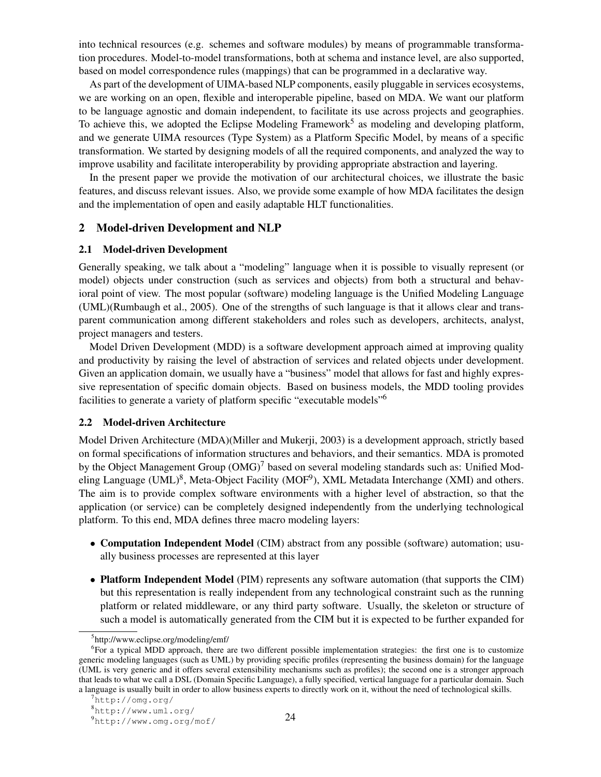into technical resources (e.g. schemes and software modules) by means of programmable transformation procedures. Model-to-model transformations, both at schema and instance level, are also supported, based on model correspondence rules (mappings) that can be programmed in a declarative way.

As part of the development of UIMA-based NLP components, easily pluggable in services ecosystems, we are working on an open, flexible and interoperable pipeline, based on MDA. We want our platform to be language agnostic and domain independent, to facilitate its use across projects and geographies. To achieve this, we adopted the Eclipse Modeling Framework<sup>5</sup> as modeling and developing platform, and we generate UIMA resources (Type System) as a Platform Specific Model, by means of a specific transformation. We started by designing models of all the required components, and analyzed the way to improve usability and facilitate interoperability by providing appropriate abstraction and layering.

In the present paper we provide the motivation of our architectural choices, we illustrate the basic features, and discuss relevant issues. Also, we provide some example of how MDA facilitates the design and the implementation of open and easily adaptable HLT functionalities.

#### 2 Model-driven Development and NLP

#### 2.1 Model-driven Development

Generally speaking, we talk about a "modeling" language when it is possible to visually represent (or model) objects under construction (such as services and objects) from both a structural and behavioral point of view. The most popular (software) modeling language is the Unified Modeling Language (UML)(Rumbaugh et al., 2005). One of the strengths of such language is that it allows clear and transparent communication among different stakeholders and roles such as developers, architects, analyst, project managers and testers.

Model Driven Development (MDD) is a software development approach aimed at improving quality and productivity by raising the level of abstraction of services and related objects under development. Given an application domain, we usually have a "business" model that allows for fast and highly expressive representation of specific domain objects. Based on business models, the MDD tooling provides facilities to generate a variety of platform specific "executable models"<sup>6</sup>

### 2.2 Model-driven Architecture

Model Driven Architecture (MDA)(Miller and Mukerji, 2003) is a development approach, strictly based on formal specifications of information structures and behaviors, and their semantics. MDA is promoted by the Object Management Group  $(OMG)^7$  based on several modeling standards such as: Unified Modeling Language (UML)<sup>8</sup>, Meta-Object Facility (MOF<sup>9</sup>), XML Metadata Interchange (XMI) and others. The aim is to provide complex software environments with a higher level of abstraction, so that the application (or service) can be completely designed independently from the underlying technological platform. To this end, MDA defines three macro modeling layers:

- **Computation Independent Model** (CIM) abstract from any possible (software) automation; usually business processes are represented at this layer
- Platform Independent Model (PIM) represents any software automation (that supports the CIM) but this representation is really independent from any technological constraint such as the running platform or related middleware, or any third party software. Usually, the skeleton or structure of such a model is automatically generated from the CIM but it is expected to be further expanded for

<sup>5</sup> http://www.eclipse.org/modeling/emf/

<sup>&</sup>lt;sup>6</sup>For a typical MDD approach, there are two different possible implementation strategies: the first one is to customize generic modeling languages (such as UML) by providing specific profiles (representing the business domain) for the language (UML is very generic and it offers several extensibility mechanisms such as profiles); the second one is a stronger approach that leads to what we call a DSL (Domain Specific Language), a fully specified, vertical language for a particular domain. Such a language is usually built in order to allow business experts to directly work on it, without the need of technological skills.

 $7$ http://omg.org/

<sup>8</sup>http://www.uml.org/

<sup>9</sup>http://www.omg.org/mof/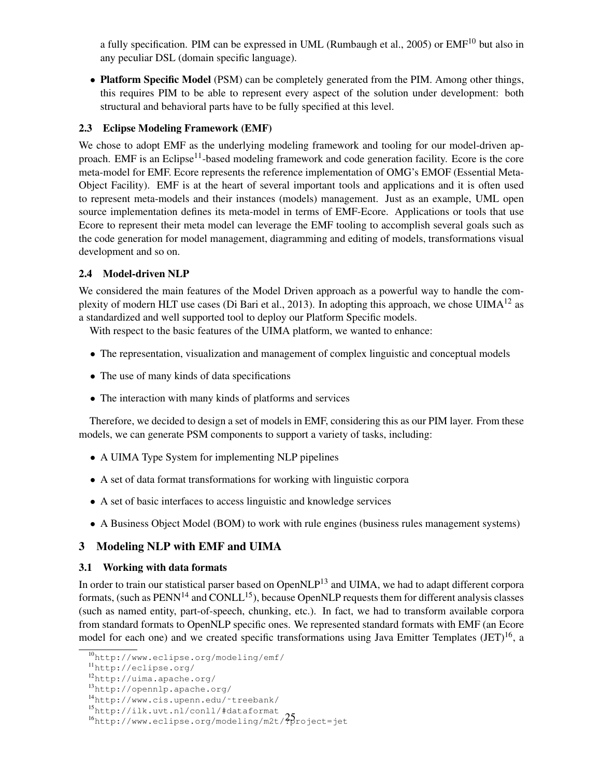a fully specification. PIM can be expressed in UML (Rumbaugh et al., 2005) or EMF<sup>10</sup> but also in any peculiar DSL (domain specific language).

• Platform Specific Model (PSM) can be completely generated from the PIM. Among other things, this requires PIM to be able to represent every aspect of the solution under development: both structural and behavioral parts have to be fully specified at this level.

# 2.3 Eclipse Modeling Framework (EMF)

We chose to adopt EMF as the underlying modeling framework and tooling for our model-driven approach. EMF is an Eclipse<sup>11</sup>-based modeling framework and code generation facility. Ecore is the core meta-model for EMF. Ecore represents the reference implementation of OMG's EMOF (Essential Meta-Object Facility). EMF is at the heart of several important tools and applications and it is often used to represent meta-models and their instances (models) management. Just as an example, UML open source implementation defines its meta-model in terms of EMF-Ecore. Applications or tools that use Ecore to represent their meta model can leverage the EMF tooling to accomplish several goals such as the code generation for model management, diagramming and editing of models, transformations visual development and so on.

# 2.4 Model-driven NLP

We considered the main features of the Model Driven approach as a powerful way to handle the complexity of modern HLT use cases (Di Bari et al., 2013). In adopting this approach, we chose UIMA<sup>12</sup> as a standardized and well supported tool to deploy our Platform Specific models.

With respect to the basic features of the UIMA platform, we wanted to enhance:

- The representation, visualization and management of complex linguistic and conceptual models
- The use of many kinds of data specifications
- The interaction with many kinds of platforms and services

Therefore, we decided to design a set of models in EMF, considering this as our PIM layer. From these models, we can generate PSM components to support a variety of tasks, including:

- A UIMA Type System for implementing NLP pipelines
- A set of data format transformations for working with linguistic corpora
- A set of basic interfaces to access linguistic and knowledge services
- A Business Object Model (BOM) to work with rule engines (business rules management systems)

# 3 Modeling NLP with EMF and UIMA

# 3.1 Working with data formats

In order to train our statistical parser based on OpenNLP<sup>13</sup> and UIMA, we had to adapt different corpora formats, (such as  $PENN<sup>14</sup>$  and CONLL<sup>15</sup>), because OpenNLP requests them for different analysis classes (such as named entity, part-of-speech, chunking, etc.). In fact, we had to transform available corpora from standard formats to OpenNLP specific ones. We represented standard formats with EMF (an Ecore model for each one) and we created specific transformations using Java Emitter Templates (JET)<sup>16</sup>, a

<sup>10</sup>http://www.eclipse.org/modeling/emf/

<sup>11</sup>http://eclipse.org/

<sup>12</sup>http://uima.apache.org/

<sup>13</sup>http://opennlp.apache.org/

<sup>14</sup>http://www.cis.upenn.edu/˜treebank/

<sup>15</sup>http://ilk.uvt.nl/conll/#dataformat

<sup>&</sup>lt;sup>16</sup>http://www.eclipse.org/modeling/m2t/?project=jet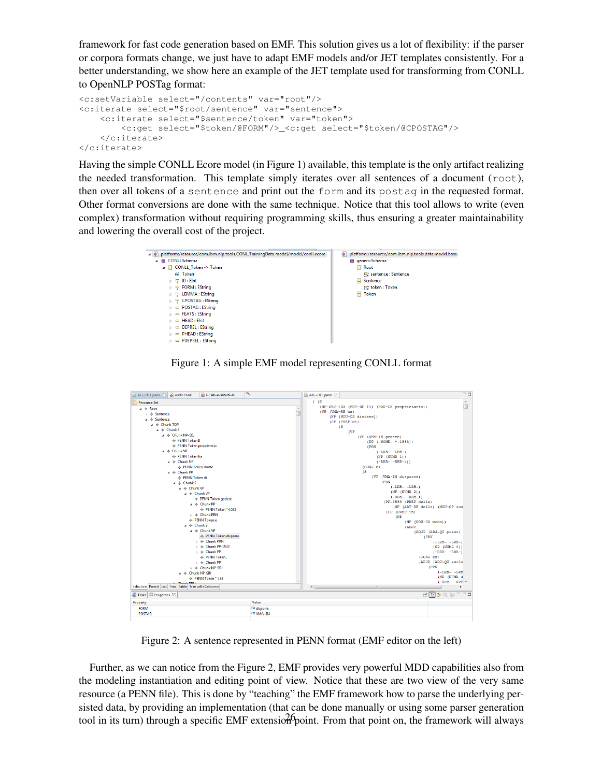framework for fast code generation based on EMF. This solution gives us a lot of flexibility: if the parser or corpora formats change, we just have to adapt EMF models and/or JET templates consistently. For a better understanding, we show here an example of the JET template used for transforming from CONLL to OpenNLP POSTag format:

```
<c:setVariable select="/contents" var="root"/>
<c:iterate select="$root/sentence" var="sentence">
    <c:iterate select="$sentence/token" var="token">
        <c:get select="$token/@FORM"/>_<c:get select="$token/@CPOSTAG"/>
   </c:iterate>
</c:iterate>
```
Having the simple CONLL Ecore model (in Figure 1) available, this template is the only artifact realizing the needed transformation. This template simply iterates over all sentences of a document (root), then over all tokens of a sentence and print out the form and its postag in the requested format. Other format conversions are done with the same technique. Notice that this tool allows to write (even complex) transformation without requiring programming skills, thus ensuring a greater maintainability and lowering the overall cost of the project.

| platform:/resource/com.ibm.nlp.tools.CONL.TrainingData.model/model/conll.ecore<br>$4 \oplus$ | platform:/resource/com.ibm.nlp.tools.data.model.base/<br>æ٦ |
|----------------------------------------------------------------------------------------------|-------------------------------------------------------------|
| <b>E</b> CONLLSchema                                                                         | <b>B</b> genericSchema                                      |
| △ 日 CONLL Token -> Token                                                                     | <b>日</b> Root                                               |
| (A) Token                                                                                    | 是 sentence : Sentence                                       |
| $\Box$ ID : EInt<br>$\triangleright$                                                         | <b>日 Sentence</b>                                           |
| $\triangleright$ $\ominus$ FORM : EString                                                    | 是 token: Token                                              |
| 무 LEMMA : EString<br>b.                                                                      | <b>日 Token</b>                                              |
| $\triangleright$ $\vdash$ CPOSTAG : EString                                                  |                                                             |
| $\Box$ POSTAG : EString<br>ь                                                                 |                                                             |
| EEATS: EString<br>ь                                                                          |                                                             |
| $\Box$ HEAD : EInt                                                                           |                                                             |
| DEPREL: EString<br>ь                                                                         |                                                             |
| $\Box$ PHEAD : EString                                                                       |                                                             |
| <b>PDEPREL: EString</b>                                                                      |                                                             |
|                                                                                              |                                                             |

Figure 1: A simple EMF model representing CONLL format

| ALL-TUT.penn 23 & eudir.conll<br>B I-CAB-evalita09-N                                     | $\overline{P_2}$   | $-1$<br>ALL-TUT.penn 23                             |
|------------------------------------------------------------------------------------------|--------------------|-----------------------------------------------------|
| Resource Set                                                                             |                    | $($ $(S)$<br>$\blacktriangle$                       |
| $4 \triangle$ Root                                                                       | ۰                  | п<br>(NP-SBJ-133 (ART~DE I1) (NOU~CS proprietario)) |
| $\triangleright \Leftrightarrow$ Sentence                                                |                    | (VP (VMA~RE ha)                                     |
| $\triangle$ $\triangle$ Sentence                                                         |                    | (NP (NOU~CS diritto))                               |
| a → Chunk TOP                                                                            |                    | (PP (PREP di)                                       |
| $\triangle$ $\triangle$ Chunk S                                                          |                    | (S                                                  |
|                                                                                          |                    | (VP                                                 |
| 4 → Chunk NP-SBJ                                                                         |                    | (VP (VMA~IN godere)                                 |
| ← PENN Token II                                                                          |                    | $(PP (-NONE- * -1533))$                             |
| ← PENN Token proprietario                                                                |                    | (PRN                                                |
| $\mu \, \triangleleft \,$ Chunk VP                                                       |                    | $(-LRB - -LRB-)$                                    |
| ← PENN Token ha                                                                          |                    | (NP (NUMR 1))                                       |
| $\triangle$ $\triangle$ Chunk NP                                                         |                    | $(-RRB - -RRB-))$                                   |
| ← PENN Token diritto                                                                     |                    | (CONJ e)                                            |
| 4 → Chunk PP                                                                             |                    | (S)                                                 |
| ← PENN Token di                                                                          |                    | (VP (VMA~IN disporre)                               |
| $\triangleq$ $\triangleq$ Chunk S                                                        |                    | (PRN)                                               |
| a → Chunk VP                                                                             |                    | $(-LRB - -LRB-)$                                    |
| 4 → Chunk VP                                                                             |                    | (NP (NUMR 2))                                       |
| ← PENN Token godere                                                                      |                    | $(-RRB - -RRB-))$                                   |
| $\triangle$ $\triangle$ Chunk PP                                                         |                    | (PP-1533 (PREP delle)                               |
| ← PENN Token *-1533                                                                      |                    | (NP (ART~DE delle) (NOU~CP cos                      |
| ⊳ < Chunk PRN                                                                            |                    | (PP (PREP in)                                       |
| ← PENN Token e                                                                           |                    | (NP)                                                |
| $a \triangleleft$ Chunk S                                                                |                    | (NP (NOU~CS modo))                                  |
|                                                                                          |                    | (ADJP)                                              |
| 4 → Chunk VP                                                                             |                    | (ADJP (ADJ~QU pieno)                                |
| ← PENN Token disporre                                                                    |                    | (PRN                                                |
| $\triangleright$ $\blacklozenge$ Chunk PRN                                               |                    | $(-LRB - -LRB - )$                                  |
| $\triangleright \Leftrightarrow$ Chunk PP-1533                                           |                    | (NP (NUMR 3))                                       |
| $\triangleright$ $\triangle$ Chunk PP                                                    |                    | $(-RRB - -RRB - )$                                  |
| ← PENN Token,                                                                            |                    | (CONJ ed)                                           |
| $\triangleright \Leftrightarrow$ Chunk PP                                                |                    | (ADJP (ADJ~QU esclu                                 |
| ⊳ $\Phi$ Chunk NP-SBJ                                                                    |                    | (PRN                                                |
| a < Chunk NP-SBJ                                                                         |                    | $(-LRB - -LRB)$                                     |
| ← PENN Token *-133                                                                       |                    | (NP (NUMR 4                                         |
| Channels DDAL                                                                            |                    | $(-RRB - -RRB -$                                    |
| Selection Parent List Tree Table Tree with Columns<br>$\leftarrow$<br>m.<br>$\mathbb{R}$ |                    |                                                     |
| Tasks Properties 23                                                                      |                    |                                                     |
| Property                                                                                 | Value              |                                                     |
| <b>FORM</b>                                                                              | <b>IE</b> disporre |                                                     |
| <b>POSTAG</b>                                                                            | <b>EE VMA~IN</b>   |                                                     |
|                                                                                          |                    |                                                     |

Figure 2: A sentence represented in PENN format (EMF editor on the left)

Further, as we can notice from the Figure 2, EMF provides very powerful MDD capabilities also from the modeling instantiation and editing point of view. Notice that these are two view of the very same resource (a PENN file). This is done by "teaching" the EMF framework how to parse the underlying persisted data, by providing an implementation (that can be done manually or using some parser generation tool in its turn) through a specific EMF extension point. From that point on, the framework will always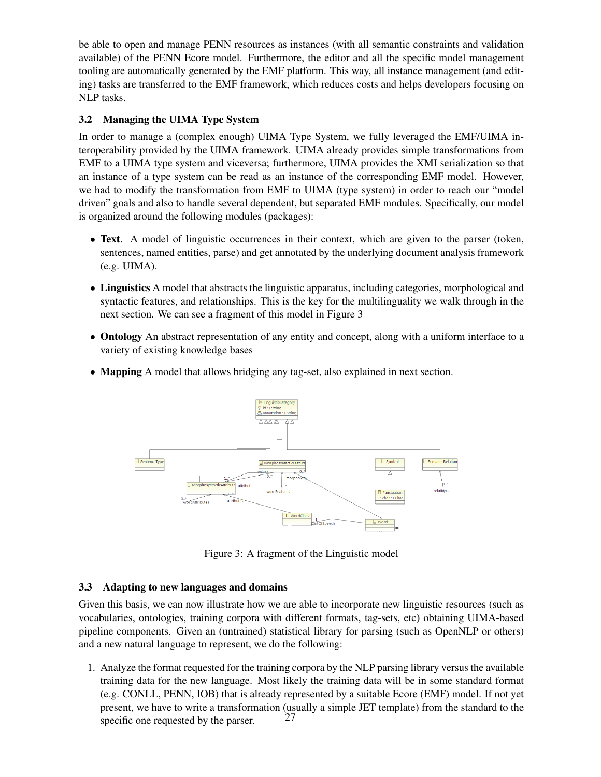be able to open and manage PENN resources as instances (with all semantic constraints and validation available) of the PENN Ecore model. Furthermore, the editor and all the specific model management tooling are automatically generated by the EMF platform. This way, all instance management (and editing) tasks are transferred to the EMF framework, which reduces costs and helps developers focusing on NLP tasks.

# 3.2 Managing the UIMA Type System

In order to manage a (complex enough) UIMA Type System, we fully leveraged the EMF/UIMA interoperability provided by the UIMA framework. UIMA already provides simple transformations from EMF to a UIMA type system and viceversa; furthermore, UIMA provides the XMI serialization so that an instance of a type system can be read as an instance of the corresponding EMF model. However, we had to modify the transformation from EMF to UIMA (type system) in order to reach our "model driven" goals and also to handle several dependent, but separated EMF modules. Specifically, our model is organized around the following modules (packages):

- Text. A model of linguistic occurrences in their context, which are given to the parser (token, sentences, named entities, parse) and get annotated by the underlying document analysis framework (e.g. UIMA).
- Linguistics A model that abstracts the linguistic apparatus, including categories, morphological and syntactic features, and relationships. This is the key for the multilinguality we walk through in the next section. We can see a fragment of this model in Figure 3
- Ontology An abstract representation of any entity and concept, along with a uniform interface to a variety of existing knowledge bases
- Mapping A model that allows bridging any tag-set, also explained in next section.



Figure 3: A fragment of the Linguistic model

# 3.3 Adapting to new languages and domains

Given this basis, we can now illustrate how we are able to incorporate new linguistic resources (such as vocabularies, ontologies, training corpora with different formats, tag-sets, etc) obtaining UIMA-based pipeline components. Given an (untrained) statistical library for parsing (such as OpenNLP or others) and a new natural language to represent, we do the following:

1. Analyze the format requested for the training corpora by the NLP parsing library versus the available training data for the new language. Most likely the training data will be in some standard format (e.g. CONLL, PENN, IOB) that is already represented by a suitable Ecore (EMF) model. If not yet present, we have to write a transformation (usually a simple JET template) from the standard to the specific one requested by the parser. 27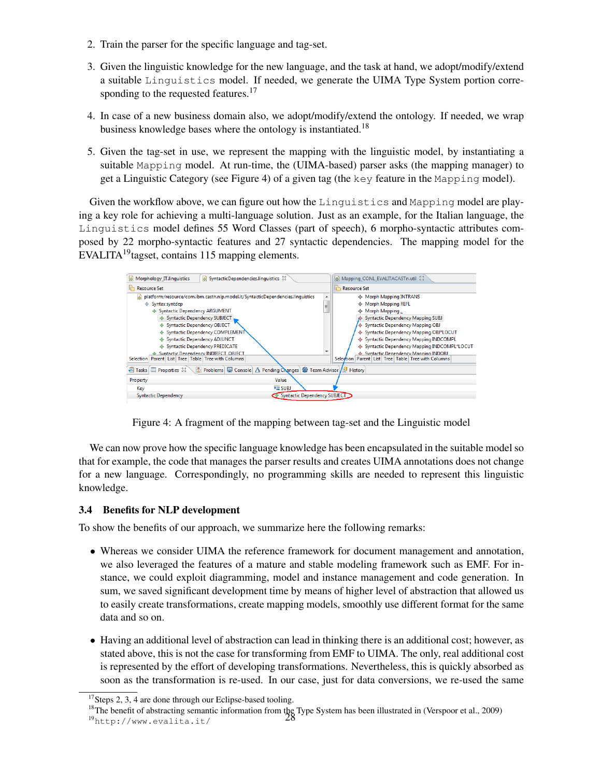- 2. Train the parser for the specific language and tag-set.
- 3. Given the linguistic knowledge for the new language, and the task at hand, we adopt/modify/extend a suitable Linguistics model. If needed, we generate the UIMA Type System portion corresponding to the requested features. $17$
- 4. In case of a new business domain also, we adopt/modify/extend the ontology. If needed, we wrap business knowledge bases where the ontology is instantiated.<sup>18</sup>
- 5. Given the tag-set in use, we represent the mapping with the linguistic model, by instantiating a suitable Mapping model. At run-time, the (UIMA-based) parser asks (the mapping manager) to get a Linguistic Category (see Figure 4) of a given tag (the key feature in the Mapping model).

Given the workflow above, we can figure out how the Linguistics and Mapping model are playing a key role for achieving a multi-language solution. Just as an example, for the Italian language, the Linguistics model defines 55 Word Classes (part of speech), 6 morpho-syntactic attributes composed by 22 morpho-syntactic features and 27 syntactic dependencies. The mapping model for the EVALITA<sup>19</sup> tagset, contains 115 mapping elements.



Figure 4: A fragment of the mapping between tag-set and the Linguistic model

We can now prove how the specific language knowledge has been encapsulated in the suitable model so that for example, the code that manages the parser results and creates UIMA annotations does not change for a new language. Correspondingly, no programming skills are needed to represent this linguistic knowledge.

# 3.4 Benefits for NLP development

To show the benefits of our approach, we summarize here the following remarks:

- Whereas we consider UIMA the reference framework for document management and annotation, we also leveraged the features of a mature and stable modeling framework such as EMF. For instance, we could exploit diagramming, model and instance management and code generation. In sum, we saved significant development time by means of higher level of abstraction that allowed us to easily create transformations, create mapping models, smoothly use different format for the same data and so on.
- Having an additional level of abstraction can lead in thinking there is an additional cost; however, as stated above, this is not the case for transforming from EMF to UIMA. The only, real additional cost is represented by the effort of developing transformations. Nevertheless, this is quickly absorbed as soon as the transformation is re-used. In our case, just for data conversions, we re-used the same

 $17$ Steps 2, 3, 4 are done through our Eclipse-based tooling.

<sup>&</sup>lt;sup>18</sup>The benefit of abstracting semantic information from the Type System has been illustrated in (Verspoor et al., 2009)<br><sup>19</sup>bt t p : //www.evalita.it/ 28

<sup>19</sup>http://www.evalita.it/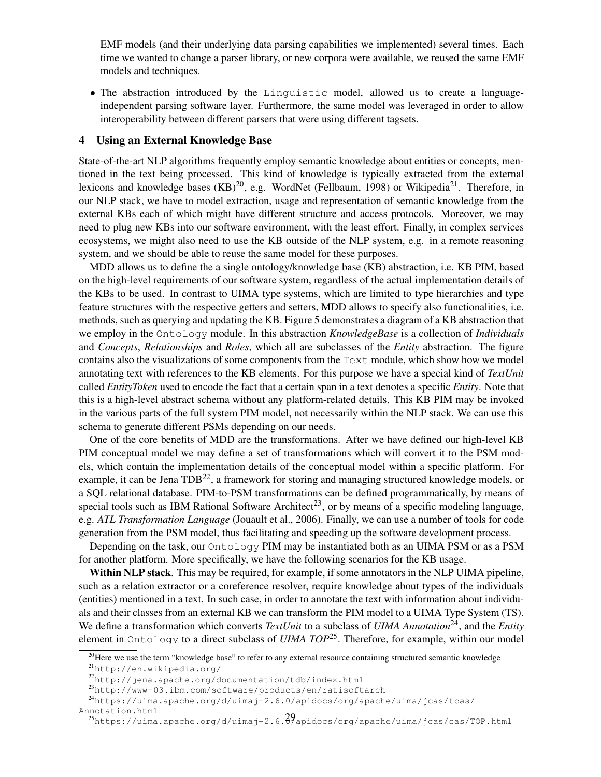EMF models (and their underlying data parsing capabilities we implemented) several times. Each time we wanted to change a parser library, or new corpora were available, we reused the same EMF models and techniques.

• The abstraction introduced by the Linguistic model, allowed us to create a languageindependent parsing software layer. Furthermore, the same model was leveraged in order to allow interoperability between different parsers that were using different tagsets.

### 4 Using an External Knowledge Base

State-of-the-art NLP algorithms frequently employ semantic knowledge about entities or concepts, mentioned in the text being processed. This kind of knowledge is typically extracted from the external lexicons and knowledge bases  $(KB)^{20}$ , e.g. WordNet (Fellbaum, 1998) or Wikipedia<sup>21</sup>. Therefore, in our NLP stack, we have to model extraction, usage and representation of semantic knowledge from the external KBs each of which might have different structure and access protocols. Moreover, we may need to plug new KBs into our software environment, with the least effort. Finally, in complex services ecosystems, we might also need to use the KB outside of the NLP system, e.g. in a remote reasoning system, and we should be able to reuse the same model for these purposes.

MDD allows us to define the a single ontology/knowledge base (KB) abstraction, i.e. KB PIM, based on the high-level requirements of our software system, regardless of the actual implementation details of the KBs to be used. In contrast to UIMA type systems, which are limited to type hierarchies and type feature structures with the respective getters and setters, MDD allows to specify also functionalities, i.e. methods, such as querying and updating the KB. Figure 5 demonstrates a diagram of a KB abstraction that we employ in the Ontology module. In this abstraction *KnowledgeBase* is a collection of *Individuals* and *Concepts*, *Relationships* and *Roles*, which all are subclasses of the *Entity* abstraction. The figure contains also the visualizations of some components from the Text module, which show how we model annotating text with references to the KB elements. For this purpose we have a special kind of *TextUnit* called *EntityToken* used to encode the fact that a certain span in a text denotes a specific *Entity*. Note that this is a high-level abstract schema without any platform-related details. This KB PIM may be invoked in the various parts of the full system PIM model, not necessarily within the NLP stack. We can use this schema to generate different PSMs depending on our needs.

One of the core benefits of MDD are the transformations. After we have defined our high-level KB PIM conceptual model we may define a set of transformations which will convert it to the PSM models, which contain the implementation details of the conceptual model within a specific platform. For example, it can be Jena TDB<sup>22</sup>, a framework for storing and managing structured knowledge models, or a SQL relational database. PIM-to-PSM transformations can be defined programmatically, by means of special tools such as IBM Rational Software Architect<sup>23</sup>, or by means of a specific modeling language, e.g. *ATL Transformation Language* (Jouault et al., 2006). Finally, we can use a number of tools for code generation from the PSM model, thus facilitating and speeding up the software development process.

Depending on the task, our Ontology PIM may be instantiated both as an UIMA PSM or as a PSM for another platform. More specifically, we have the following scenarios for the KB usage.

Within NLP stack. This may be required, for example, if some annotators in the NLP UIMA pipeline, such as a relation extractor or a coreference resolver, require knowledge about types of the individuals (entities) mentioned in a text. In such case, in order to annotate the text with information about individuals and their classes from an external KB we can transform the PIM model to a UIMA Type System (TS). We define a transformation which converts *TextUnit* to a subclass of *UIMA Annotation*<sup>24</sup>, and the *Entity* element in Ontology to a direct subclass of *UIMA TOP*25. Therefore, for example, within our model

 $20$  Here we use the term "knowledge base" to refer to any external resource containing structured semantic knowledge

<sup>21</sup>http://en.wikipedia.org/

<sup>22</sup>http://jena.apache.org/documentation/tdb/index.html

<sup>23</sup>http://www-03.ibm.com/software/products/en/ratisoftarch

<sup>24</sup>https://uima.apache.org/d/uimaj-2.6.0/apidocs/org/apache/uima/jcas/tcas/

Annotation.html

 $^{25}$ https://uima.apache.org/d/uimaj-2.6. $\partial$ /apidocs/org/apache/uima/jcas/cas/TOP.html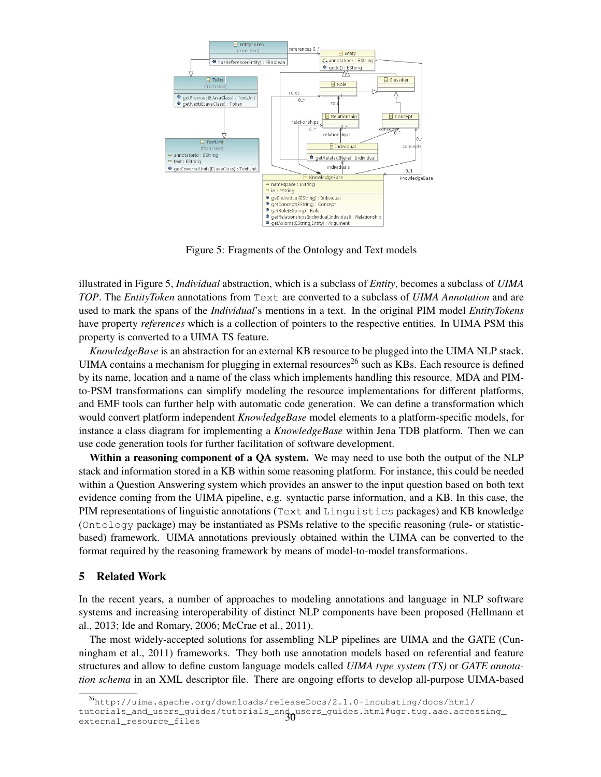

Figure 5: Fragments of the Ontology and Text models

illustrated in Figure 5, *Individual* abstraction, which is a subclass of *Entity*, becomes a subclass of *UIMA TOP*. The *EntityToken* annotations from Text are converted to a subclass of *UIMA Annotation* and are used to mark the spans of the *Individual*'s mentions in a text. In the original PIM model *EntityTokens* have property *references* which is a collection of pointers to the respective entities. In UIMA PSM this property is converted to a UIMA TS feature.

*KnowledgeBase* is an abstraction for an external KB resource to be plugged into the UIMA NLP stack. UIMA contains a mechanism for plugging in external resources<sup>26</sup> such as KBs. Each resource is defined by its name, location and a name of the class which implements handling this resource. MDA and PIMto-PSM transformations can simplify modeling the resource implementations for different platforms, and EMF tools can further help with automatic code generation. We can define a transformation which would convert platform independent *KnowledgeBase* model elements to a platform-specific models, for instance a class diagram for implementing a *KnowledgeBase* within Jena TDB platform. Then we can use code generation tools for further facilitation of software development.

Within a reasoning component of a QA system. We may need to use both the output of the NLP stack and information stored in a KB within some reasoning platform. For instance, this could be needed within a Question Answering system which provides an answer to the input question based on both text evidence coming from the UIMA pipeline, e.g. syntactic parse information, and a KB. In this case, the PIM representations of linguistic annotations (Text and Linguistics packages) and KB knowledge (Ontology package) may be instantiated as PSMs relative to the specific reasoning (rule- or statisticbased) framework. UIMA annotations previously obtained within the UIMA can be converted to the format required by the reasoning framework by means of model-to-model transformations.

### 5 Related Work

In the recent years, a number of approaches to modeling annotations and language in NLP software systems and increasing interoperability of distinct NLP components have been proposed (Hellmann et al., 2013; Ide and Romary, 2006; McCrae et al., 2011).

The most widely-accepted solutions for assembling NLP pipelines are UIMA and the GATE (Cunningham et al., 2011) frameworks. They both use annotation models based on referential and feature structures and allow to define custom language models called *UIMA type system (TS)* or *GATE annotation schema* in an XML descriptor file. There are ongoing efforts to develop all-purpose UIMA-based

<sup>26</sup>http://uima.apache.org/downloads/releaseDocs/2.1.0-incubating/docs/html/ tutorials\_and\_users\_guides/tutorials\_and\_users\_guides.html#ugr.tug.aae.accessing\_ 30external\_resource\_files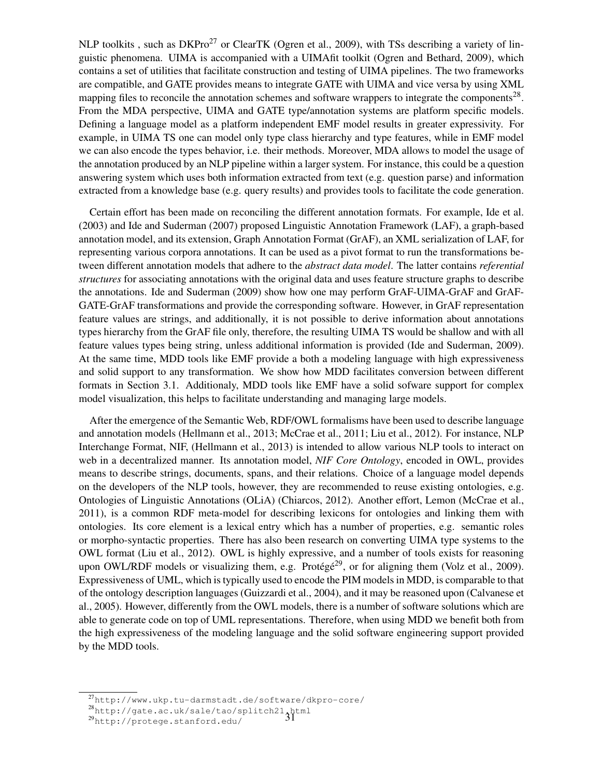NLP toolkits, such as DKPro<sup>27</sup> or ClearTK (Ogren et al., 2009), with TSs describing a variety of linguistic phenomena. UIMA is accompanied with a UIMAfit toolkit (Ogren and Bethard, 2009), which contains a set of utilities that facilitate construction and testing of UIMA pipelines. The two frameworks are compatible, and GATE provides means to integrate GATE with UIMA and vice versa by using XML mapping files to reconcile the annotation schemes and software wrappers to integrate the components<sup>28</sup>. From the MDA perspective, UIMA and GATE type/annotation systems are platform specific models. Defining a language model as a platform independent EMF model results in greater expressivity. For example, in UIMA TS one can model only type class hierarchy and type features, while in EMF model we can also encode the types behavior, i.e. their methods. Moreover, MDA allows to model the usage of the annotation produced by an NLP pipeline within a larger system. For instance, this could be a question answering system which uses both information extracted from text (e.g. question parse) and information extracted from a knowledge base (e.g. query results) and provides tools to facilitate the code generation.

Certain effort has been made on reconciling the different annotation formats. For example, Ide et al. (2003) and Ide and Suderman (2007) proposed Linguistic Annotation Framework (LAF), a graph-based annotation model, and its extension, Graph Annotation Format (GrAF), an XML serialization of LAF, for representing various corpora annotations. It can be used as a pivot format to run the transformations between different annotation models that adhere to the *abstract data model*. The latter contains *referential structures* for associating annotations with the original data and uses feature structure graphs to describe the annotations. Ide and Suderman (2009) show how one may perform GrAF-UIMA-GrAF and GrAF-GATE-GrAF transformations and provide the corresponding software. However, in GrAF representation feature values are strings, and additionally, it is not possible to derive information about annotations types hierarchy from the GrAF file only, therefore, the resulting UIMA TS would be shallow and with all feature values types being string, unless additional information is provided (Ide and Suderman, 2009). At the same time, MDD tools like EMF provide a both a modeling language with high expressiveness and solid support to any transformation. We show how MDD facilitates conversion between different formats in Section 3.1. Additionaly, MDD tools like EMF have a solid sofware support for complex model visualization, this helps to facilitate understanding and managing large models.

After the emergence of the Semantic Web, RDF/OWL formalisms have been used to describe language and annotation models (Hellmann et al., 2013; McCrae et al., 2011; Liu et al., 2012). For instance, NLP Interchange Format, NIF, (Hellmann et al., 2013) is intended to allow various NLP tools to interact on web in a decentralized manner. Its annotation model, *NIF Core Ontology*, encoded in OWL, provides means to describe strings, documents, spans, and their relations. Choice of a language model depends on the developers of the NLP tools, however, they are recommended to reuse existing ontologies, e.g. Ontologies of Linguistic Annotations (OLiA) (Chiarcos, 2012). Another effort, Lemon (McCrae et al., 2011), is a common RDF meta-model for describing lexicons for ontologies and linking them with ontologies. Its core element is a lexical entry which has a number of properties, e.g. semantic roles or morpho-syntactic properties. There has also been research on converting UIMA type systems to the OWL format (Liu et al., 2012). OWL is highly expressive, and a number of tools exists for reasoning upon OWL/RDF models or visualizing them, e.g. Protégé<sup>29</sup>, or for aligning them (Volz et al., 2009). Expressiveness of UML, which is typically used to encode the PIM models in MDD, is comparable to that of the ontology description languages (Guizzardi et al., 2004), and it may be reasoned upon (Calvanese et al., 2005). However, differently from the OWL models, there is a number of software solutions which are able to generate code on top of UML representations. Therefore, when using MDD we benefit both from the high expressiveness of the modeling language and the solid software engineering support provided by the MDD tools.

<sup>27</sup>http://www.ukp.tu-darmstadt.de/software/dkpro-core/

 $^{28}$ http://gate.ac.uk/sale/tao/splitch21.html<br> $^{29}$ http://protege.stanford.edu/

<sup>29</sup>http://protege.stanford.edu/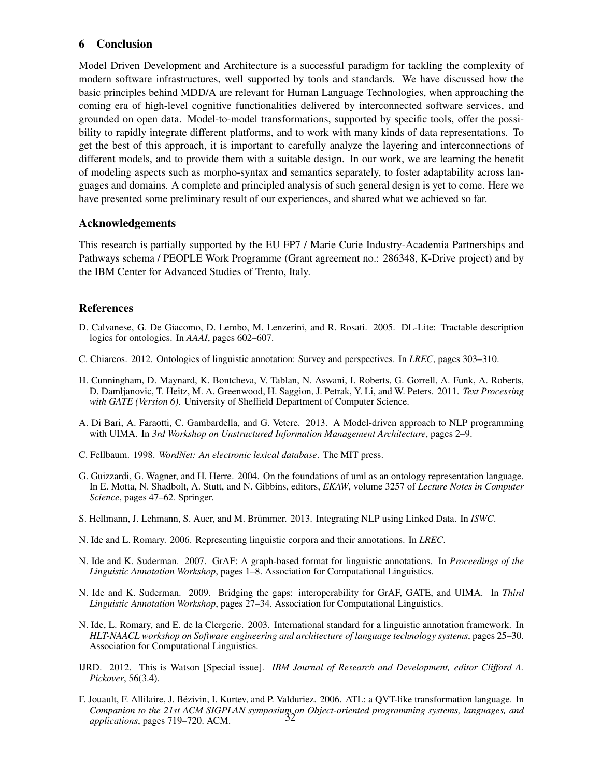# 6 Conclusion

Model Driven Development and Architecture is a successful paradigm for tackling the complexity of modern software infrastructures, well supported by tools and standards. We have discussed how the basic principles behind MDD/A are relevant for Human Language Technologies, when approaching the coming era of high-level cognitive functionalities delivered by interconnected software services, and grounded on open data. Model-to-model transformations, supported by specific tools, offer the possibility to rapidly integrate different platforms, and to work with many kinds of data representations. To get the best of this approach, it is important to carefully analyze the layering and interconnections of different models, and to provide them with a suitable design. In our work, we are learning the benefit of modeling aspects such as morpho-syntax and semantics separately, to foster adaptability across languages and domains. A complete and principled analysis of such general design is yet to come. Here we have presented some preliminary result of our experiences, and shared what we achieved so far.

# Acknowledgements

This research is partially supported by the EU FP7 / Marie Curie Industry-Academia Partnerships and Pathways schema / PEOPLE Work Programme (Grant agreement no.: 286348, K-Drive project) and by the IBM Center for Advanced Studies of Trento, Italy.

# References

- D. Calvanese, G. De Giacomo, D. Lembo, M. Lenzerini, and R. Rosati. 2005. DL-Lite: Tractable description logics for ontologies. In *AAAI*, pages 602–607.
- C. Chiarcos. 2012. Ontologies of linguistic annotation: Survey and perspectives. In *LREC*, pages 303–310.
- H. Cunningham, D. Maynard, K. Bontcheva, V. Tablan, N. Aswani, I. Roberts, G. Gorrell, A. Funk, A. Roberts, D. Damljanovic, T. Heitz, M. A. Greenwood, H. Saggion, J. Petrak, Y. Li, and W. Peters. 2011. *Text Processing with GATE (Version 6)*. University of Sheffield Department of Computer Science.
- A. Di Bari, A. Faraotti, C. Gambardella, and G. Vetere. 2013. A Model-driven approach to NLP programming with UIMA. In *3rd Workshop on Unstructured Information Management Architecture*, pages 2–9.
- C. Fellbaum. 1998. *WordNet: An electronic lexical database*. The MIT press.
- G. Guizzardi, G. Wagner, and H. Herre. 2004. On the foundations of uml as an ontology representation language. In E. Motta, N. Shadbolt, A. Stutt, and N. Gibbins, editors, *EKAW*, volume 3257 of *Lecture Notes in Computer Science*, pages 47–62. Springer.
- S. Hellmann, J. Lehmann, S. Auer, and M. Brümmer. 2013. Integrating NLP using Linked Data. In *ISWC*.
- N. Ide and L. Romary. 2006. Representing linguistic corpora and their annotations. In *LREC*.
- N. Ide and K. Suderman. 2007. GrAF: A graph-based format for linguistic annotations. In *Proceedings of the Linguistic Annotation Workshop*, pages 1–8. Association for Computational Linguistics.
- N. Ide and K. Suderman. 2009. Bridging the gaps: interoperability for GrAF, GATE, and UIMA. In *Third Linguistic Annotation Workshop*, pages 27–34. Association for Computational Linguistics.
- N. Ide, L. Romary, and E. de la Clergerie. 2003. International standard for a linguistic annotation framework. In *HLT-NAACL workshop on Software engineering and architecture of language technology systems*, pages 25–30. Association for Computational Linguistics.
- IJRD. 2012. This is Watson [Special issue]. *IBM Journal of Research and Development, editor Clifford A. Pickover*, 56(3.4).
- F. Jouault, F. Allilaire, J. Bezivin, I. Kurtev, and P. Valduriez. 2006. ATL: a QVT-like transformation language. In ´ *Companion to the 21st ACM SIGPLAN symposium on Object-oriented programming systems, languages, and* 32*applications*, pages 719–720. ACM.